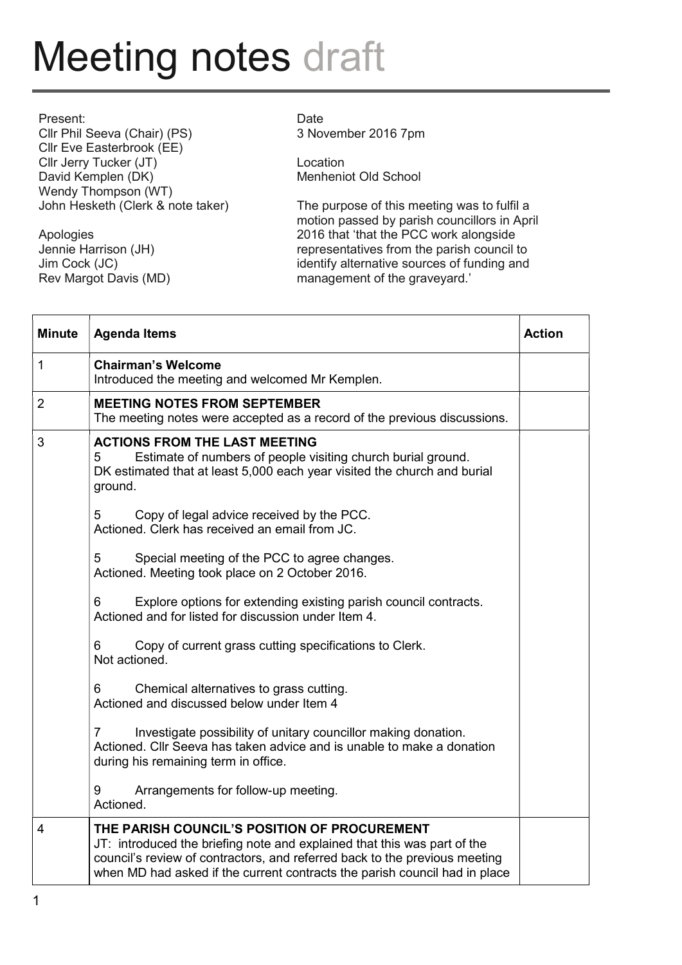## Meeting notes draft

| Present:                          |
|-----------------------------------|
| Cllr Phil Seeva (Chair) (PS)      |
| Cllr Eve Easterbrook (EE)         |
| Cllr Jerry Tucker (JT)            |
| David Kemplen (DK)                |
| Wendy Thompson (WT)               |
| John Hesketh (Clerk & note taker) |

Apologies Jennie Harrison (JH) Jim Cock (JC) Rev Margot Davis (MD)

## Date

3 November 2016 7pm

Location Menheniot Old School

The purpose of this meeting was to fulfil a motion passed by parish councillors in April 2016 that 'that the PCC work alongside representatives from the parish council to identify alternative sources of funding and management of the graveyard.'

| <b>Minute</b>  | <b>Agenda Items</b>                                                                                                                                                                                                                                                                  | <b>Action</b> |
|----------------|--------------------------------------------------------------------------------------------------------------------------------------------------------------------------------------------------------------------------------------------------------------------------------------|---------------|
| $\mathbf{1}$   | <b>Chairman's Welcome</b><br>Introduced the meeting and welcomed Mr Kemplen.                                                                                                                                                                                                         |               |
| $\overline{2}$ | <b>MEETING NOTES FROM SEPTEMBER</b><br>The meeting notes were accepted as a record of the previous discussions.                                                                                                                                                                      |               |
| 3              | <b>ACTIONS FROM THE LAST MEETING</b><br>Estimate of numbers of people visiting church burial ground.<br>5<br>DK estimated that at least 5,000 each year visited the church and burial<br>ground.                                                                                     |               |
|                | Copy of legal advice received by the PCC.<br>5<br>Actioned. Clerk has received an email from JC.                                                                                                                                                                                     |               |
|                | 5<br>Special meeting of the PCC to agree changes.<br>Actioned. Meeting took place on 2 October 2016.                                                                                                                                                                                 |               |
|                | Explore options for extending existing parish council contracts.<br>6<br>Actioned and for listed for discussion under Item 4.                                                                                                                                                        |               |
|                | Copy of current grass cutting specifications to Clerk.<br>6<br>Not actioned.                                                                                                                                                                                                         |               |
|                | Chemical alternatives to grass cutting.<br>6<br>Actioned and discussed below under Item 4                                                                                                                                                                                            |               |
|                | Investigate possibility of unitary councillor making donation.<br>7<br>Actioned. Cllr Seeva has taken advice and is unable to make a donation<br>during his remaining term in office.                                                                                                |               |
|                | Arrangements for follow-up meeting.<br>9<br>Actioned.                                                                                                                                                                                                                                |               |
| $\overline{4}$ | THE PARISH COUNCIL'S POSITION OF PROCUREMENT<br>JT: introduced the briefing note and explained that this was part of the<br>council's review of contractors, and referred back to the previous meeting<br>when MD had asked if the current contracts the parish council had in place |               |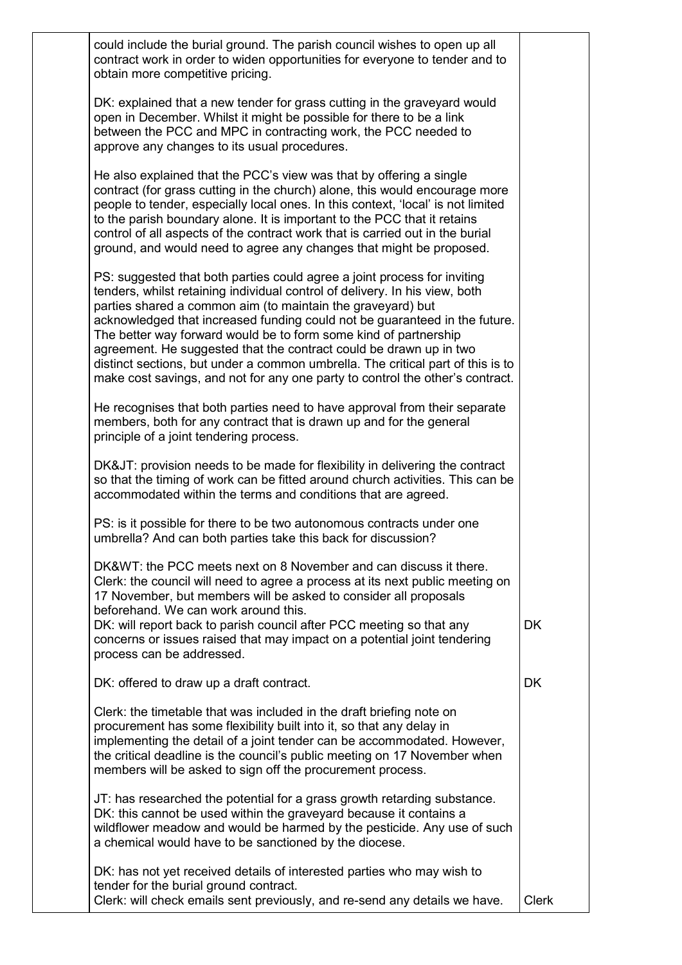| could include the burial ground. The parish council wishes to open up all<br>contract work in order to widen opportunities for everyone to tender and to<br>obtain more competitive pricing.                                                                                                                                                                                                                                                                                                                                                                                                                       |              |
|--------------------------------------------------------------------------------------------------------------------------------------------------------------------------------------------------------------------------------------------------------------------------------------------------------------------------------------------------------------------------------------------------------------------------------------------------------------------------------------------------------------------------------------------------------------------------------------------------------------------|--------------|
| DK: explained that a new tender for grass cutting in the graveyard would<br>open in December. Whilst it might be possible for there to be a link<br>between the PCC and MPC in contracting work, the PCC needed to<br>approve any changes to its usual procedures.                                                                                                                                                                                                                                                                                                                                                 |              |
| He also explained that the PCC's view was that by offering a single<br>contract (for grass cutting in the church) alone, this would encourage more<br>people to tender, especially local ones. In this context, 'local' is not limited<br>to the parish boundary alone. It is important to the PCC that it retains<br>control of all aspects of the contract work that is carried out in the burial<br>ground, and would need to agree any changes that might be proposed.                                                                                                                                         |              |
| PS: suggested that both parties could agree a joint process for inviting<br>tenders, whilst retaining individual control of delivery. In his view, both<br>parties shared a common aim (to maintain the graveyard) but<br>acknowledged that increased funding could not be guaranteed in the future.<br>The better way forward would be to form some kind of partnership<br>agreement. He suggested that the contract could be drawn up in two<br>distinct sections, but under a common umbrella. The critical part of this is to<br>make cost savings, and not for any one party to control the other's contract. |              |
| He recognises that both parties need to have approval from their separate<br>members, both for any contract that is drawn up and for the general<br>principle of a joint tendering process.                                                                                                                                                                                                                                                                                                                                                                                                                        |              |
| DK&JT: provision needs to be made for flexibility in delivering the contract<br>so that the timing of work can be fitted around church activities. This can be<br>accommodated within the terms and conditions that are agreed.                                                                                                                                                                                                                                                                                                                                                                                    |              |
| PS: is it possible for there to be two autonomous contracts under one<br>umbrella? And can both parties take this back for discussion?                                                                                                                                                                                                                                                                                                                                                                                                                                                                             |              |
| DK&WT: the PCC meets next on 8 November and can discuss it there.<br>Clerk: the council will need to agree a process at its next public meeting on<br>17 November, but members will be asked to consider all proposals<br>beforehand. We can work around this.                                                                                                                                                                                                                                                                                                                                                     |              |
| DK: will report back to parish council after PCC meeting so that any<br>concerns or issues raised that may impact on a potential joint tendering<br>process can be addressed.                                                                                                                                                                                                                                                                                                                                                                                                                                      | <b>DK</b>    |
| DK: offered to draw up a draft contract.                                                                                                                                                                                                                                                                                                                                                                                                                                                                                                                                                                           | <b>DK</b>    |
| Clerk: the timetable that was included in the draft briefing note on<br>procurement has some flexibility built into it, so that any delay in<br>implementing the detail of a joint tender can be accommodated. However,<br>the critical deadline is the council's public meeting on 17 November when<br>members will be asked to sign off the procurement process.                                                                                                                                                                                                                                                 |              |
| JT: has researched the potential for a grass growth retarding substance.<br>DK: this cannot be used within the graveyard because it contains a<br>wildflower meadow and would be harmed by the pesticide. Any use of such<br>a chemical would have to be sanctioned by the diocese.                                                                                                                                                                                                                                                                                                                                |              |
| DK: has not yet received details of interested parties who may wish to<br>tender for the burial ground contract.<br>Clerk: will check emails sent previously, and re-send any details we have.                                                                                                                                                                                                                                                                                                                                                                                                                     | <b>Clerk</b> |